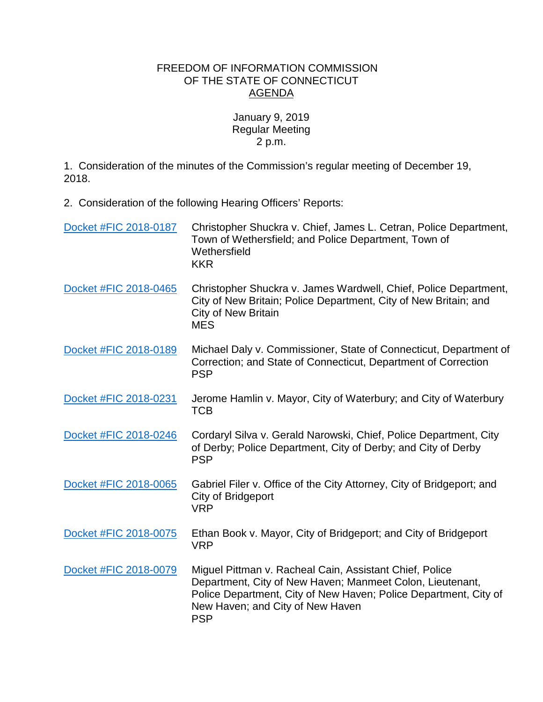## FREEDOM OF INFORMATION COMMISSION OF THE STATE OF CONNECTICUT AGENDA

January 9, 2019 Regular Meeting 2 p.m.

1. Consideration of the minutes of the Commission's regular meeting of December 19, 2018.

2. Consideration of the following Hearing Officers' Reports:

| Docket #FIC 2018-0187 | Christopher Shuckra v. Chief, James L. Cetran, Police Department,<br>Town of Wethersfield; and Police Department, Town of<br>Wethersfield<br><b>KKR</b>                                                                                    |
|-----------------------|--------------------------------------------------------------------------------------------------------------------------------------------------------------------------------------------------------------------------------------------|
| Docket #FIC 2018-0465 | Christopher Shuckra v. James Wardwell, Chief, Police Department,<br>City of New Britain; Police Department, City of New Britain; and<br><b>City of New Britain</b><br><b>MES</b>                                                           |
| Docket #FIC 2018-0189 | Michael Daly v. Commissioner, State of Connecticut, Department of<br>Correction; and State of Connecticut, Department of Correction<br><b>PSP</b>                                                                                          |
| Docket #FIC 2018-0231 | Jerome Hamlin v. Mayor, City of Waterbury; and City of Waterbury<br><b>TCB</b>                                                                                                                                                             |
| Docket #FIC 2018-0246 | Cordaryl Silva v. Gerald Narowski, Chief, Police Department, City<br>of Derby; Police Department, City of Derby; and City of Derby<br><b>PSP</b>                                                                                           |
| Docket #FIC 2018-0065 | Gabriel Filer v. Office of the City Attorney, City of Bridgeport; and<br>City of Bridgeport<br><b>VRP</b>                                                                                                                                  |
| Docket #FIC 2018-0075 | Ethan Book v. Mayor, City of Bridgeport; and City of Bridgeport<br><b>VRP</b>                                                                                                                                                              |
| Docket #FIC 2018-0079 | Miguel Pittman v. Racheal Cain, Assistant Chief, Police<br>Department, City of New Haven; Manmeet Colon, Lieutenant,<br>Police Department, City of New Haven; Police Department, City of<br>New Haven; and City of New Haven<br><b>PSP</b> |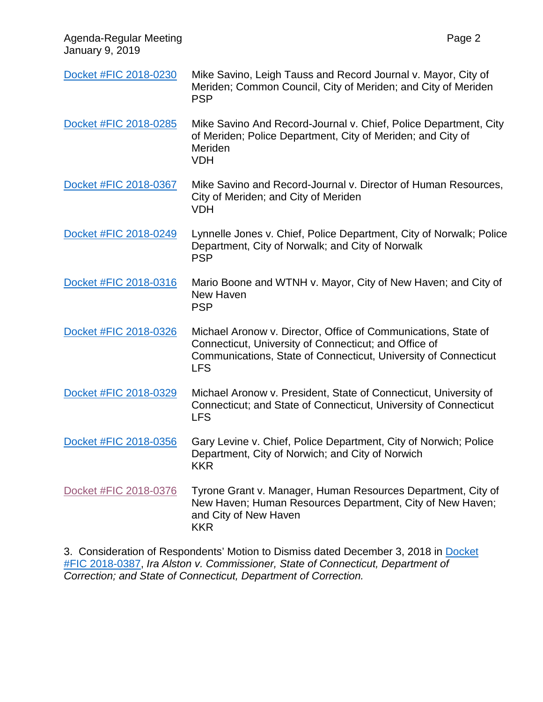Agenda-Regular Meeting Page 2 January 9, 2019 [Docket #FIC 2018-0230](https://www.ct.gov/foi/lib/foi/agendas/2019/jan9/2018-0230.pdf) Mike Savino, Leigh Tauss and Record Journal v. Mayor, City of Meriden; Common Council, City of Meriden; and City of Meriden PSP [Docket #FIC 2018-0285](https://www.ct.gov/foi/lib/foi/agendas/2019/jan9/2018-0285.pdf) Mike Savino And Record-Journal v. Chief, Police Department, City of Meriden; Police Department, City of Meriden; and City of Meriden VDH [Docket #FIC 2018-0367](https://www.ct.gov/foi/lib/foi/agendas/2019/jan9/2018-0367.pdf) Mike Savino and Record-Journal v. Director of Human Resources, City of Meriden; and City of Meriden VDH [Docket #FIC 2018-0249](https://www.ct.gov/foi/lib/foi/agendas/2019/jan9/2018-0249.pdf) Lynnelle Jones v. Chief, Police Department, City of Norwalk; Police Department, City of Norwalk; and City of Norwalk PSP [Docket #FIC 2018-0316](https://www.ct.gov/foi/lib/foi/agendas/2019/jan9/2018-0316.pdf) Mario Boone and WTNH v. Mayor, City of New Haven; and City of New Haven PSP [Docket #FIC 2018-0326](https://www.ct.gov/foi/lib/foi/agendas/2019/jan9/2018-0326.pdf) Michael Aronow v. Director, Office of Communications, State of Connecticut, University of Connecticut; and Office of Communications, State of Connecticut, University of Connecticut LFS [Docket #FIC 2018-0329](https://www.ct.gov/foi/lib/foi/agendas/2019/jan9/2018-0329.pdf) Michael Aronow v. President, State of Connecticut, University of Connecticut; and State of Connecticut, University of Connecticut LFS [Docket #FIC 2018-0356](https://www.ct.gov/foi/lib/foi/agendas/2019/jan9/2018-0356.pdf) Gary Levine v. Chief, Police Department, City of Norwich; Police Department, City of Norwich; and City of Norwich KKR [Docket #FIC 2018-0376](https://www.ct.gov/foi/lib/foi/agendas/2019/jan9/2018-0376.pdf) Tyrone Grant v. Manager, Human Resources Department, City of New Haven; Human Resources Department, City of New Haven; and City of New Haven KKR

3. Consideration of Respondents' Motion to Dismiss dated December 3, 2018 in [Docket](https://www.ct.gov/foi/lib/foi/agendas/2019/jan9/2018-0387.pdf)  [#FIC 2018-0387,](https://www.ct.gov/foi/lib/foi/agendas/2019/jan9/2018-0387.pdf) *Ira Alston v. Commissioner, State of Connecticut, Department of Correction; and State of Connecticut, Department of Correction.*